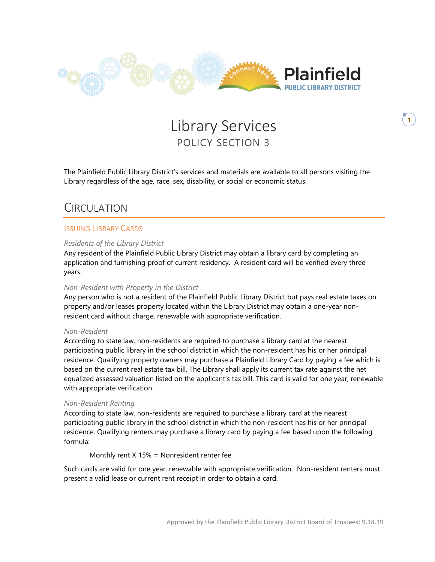

# Library Services POLICY SECTION 3

The Plainfield Public Library District's services and materials are available to all persons visiting the Library regardless of the age, race, sex, disability, or social or economic status.

# CIRCUI ATION

### ISSUING LIBRARY CARDS

#### *Residents of the Library District*

Any resident of the Plainfield Public Library District may obtain a library card by completing an application and furnishing proof of current residency. A resident card will be verified every three years.

#### *Non-Resident with Property in the District*

Any person who is not a resident of the Plainfield Public Library District but pays real estate taxes on property and/or leases property located within the Library District may obtain a one-year nonresident card without charge, renewable with appropriate verification.

#### *Non-Resident*

According to state law, non-residents are required to purchase a library card at the nearest participating public library in the school district in which the non-resident has his or her principal residence. Qualifying property owners may purchase a Plainfield Library Card by paying a fee which is based on the current real estate tax bill. The Library shall apply its current tax rate against the net equalized assessed valuation listed on the applicant's tax bill. This card is valid for one year, renewable with appropriate verification.

#### *Non-Resident Renting*

According to state law, non-residents are required to purchase a library card at the nearest participating public library in the school district in which the non-resident has his or her principal residence. Qualifying renters may purchase a library card by paying a fee based upon the following formula:

Monthly rent X 15% = Nonresident renter fee

Such cards are valid for one year, renewable with appropriate verification. Non-resident renters must present a valid lease or current rent receipt in order to obtain a card.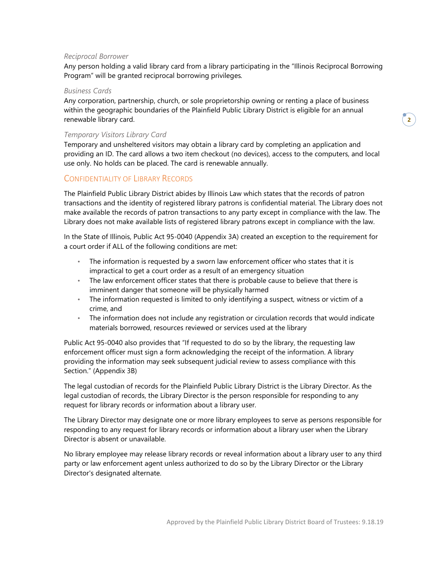#### *Reciprocal Borrower*

Any person holding a valid library card from a library participating in the "Illinois Reciprocal Borrowing Program" will be granted reciprocal borrowing privileges*.* 

#### *Business Cards*

Any corporation, partnership, church, or sole proprietorship owning or renting a place of business within the geographic boundaries of the Plainfield Public Library District is eligible for an annual renewable library card.

#### *Temporary Visitors Library Card*

Temporary and unsheltered visitors may obtain a library card by completing an application and providing an ID. The card allows a two item checkout (no devices), access to the computers, and local use only. No holds can be placed. The card is renewable annually.

#### CONFIDENTIALITY OF LIBRARY RECORDS

The Plainfield Public Library District abides by Illinois Law which states that the records of patron transactions and the identity of registered library patrons is confidential material. The Library does not make available the records of patron transactions to any party except in compliance with the law. The Library does not make available lists of registered library patrons except in compliance with the law.

In the State of Illinois, Public Act 95-0040 (Appendix 3A) created an exception to the requirement for a court order if ALL of the following conditions are met:

- The information is requested by a sworn law enforcement officer who states that it is impractical to get a court order as a result of an emergency situation
- The law enforcement officer states that there is probable cause to believe that there is imminent danger that someone will be physically harmed
- The information requested is limited to only identifying a suspect, witness or victim of a crime, and
- The information does not include any registration or circulation records that would indicate materials borrowed, resources reviewed or services used at the library

Public Act 95-0040 also provides that "If requested to do so by the library, the requesting law enforcement officer must sign a form acknowledging the receipt of the information. A library providing the information may seek subsequent judicial review to assess compliance with this Section." (Appendix 3B)

The legal custodian of records for the Plainfield Public Library District is the Library Director. As the legal custodian of records, the Library Director is the person responsible for responding to any request for library records or information about a library user.

The Library Director may designate one or more library employees to serve as persons responsible for responding to any request for library records or information about a library user when the Library Director is absent or unavailable.

No library employee may release library records or reveal information about a library user to any third party or law enforcement agent unless authorized to do so by the Library Director or the Library Director's designated alternate.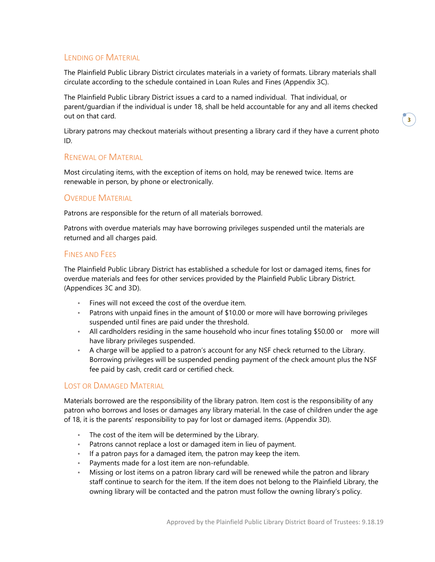## LENDING OF MATERIAL

The Plainfield Public Library District circulates materials in a variety of formats. Library materials shall circulate according to the schedule contained in Loan Rules and Fines (Appendix 3C).

The Plainfield Public Library District issues a card to a named individual. That individual, or parent/guardian if the individual is under 18, shall be held accountable for any and all items checked out on that card.

Library patrons may checkout materials without presenting a library card if they have a current photo ID.

### RENEWAL OF MATERIAL

Most circulating items, with the exception of items on hold, may be renewed twice. Items are renewable in person, by phone or electronically.

### OVERDUE MATERIAL

Patrons are responsible for the return of all materials borrowed.

Patrons with overdue materials may have borrowing privileges suspended until the materials are returned and all charges paid.

### FINES AND FEES

The Plainfield Public Library District has established a schedule for lost or damaged items, fines for overdue materials and fees for other services provided by the Plainfield Public Library District. (Appendices 3C and 3D).

- Fines will not exceed the cost of the overdue item.
- Patrons with unpaid fines in the amount of \$10.00 or more will have borrowing privileges suspended until fines are paid under the threshold.
- All cardholders residing in the same household who incur fines totaling \$50.00 or more will have library privileges suspended.
- A charge will be applied to a patron's account for any NSF check returned to the Library. Borrowing privileges will be suspended pending payment of the check amount plus the NSF fee paid by cash, credit card or certified check.

## LOST OR DAMAGED MATERIAL

Materials borrowed are the responsibility of the library patron. Item cost is the responsibility of any patron who borrows and loses or damages any library material. In the case of children under the age of 18, it is the parents' responsibility to pay for lost or damaged items. (Appendix 3D).

- The cost of the item will be determined by the Library.
- Patrons cannot replace a lost or damaged item in lieu of payment.
- If a patron pays for a damaged item, the patron may keep the item.
- Payments made for a lost item are non-refundable.
- Missing or lost items on a patron library card will be renewed while the patron and library staff continue to search for the item. If the item does not belong to the Plainfield Library, the owning library will be contacted and the patron must follow the owning library's policy.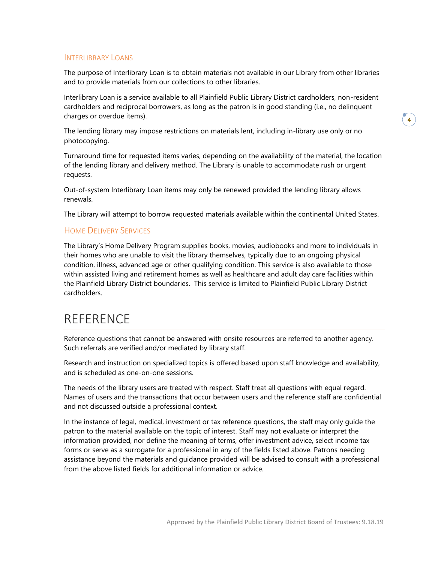## INTERLIBRARY LOANS

The purpose of Interlibrary Loan is to obtain materials not available in our Library from other libraries and to provide materials from our collections to other libraries.

Interlibrary Loan is a service available to all Plainfield Public Library District cardholders, non-resident cardholders and reciprocal borrowers, as long as the patron is in good standing (i.e., no delinquent charges or overdue items).

The lending library may impose restrictions on materials lent, including in-library use only or no photocopying.

Turnaround time for requested items varies, depending on the availability of the material, the location of the lending library and delivery method. The Library is unable to accommodate rush or urgent requests.

Out-of-system Interlibrary Loan items may only be renewed provided the lending library allows renewals.

The Library will attempt to borrow requested materials available within the continental United States.

### HOME DELIVERY SERVICES

The Library's Home Delivery Program supplies books, movies, audiobooks and more to individuals in their homes who are unable to visit the library themselves, typically due to an ongoing physical condition, illness, advanced age or other qualifying condition. This service is also available to those within assisted living and retirement homes as well as healthcare and adult day care facilities within the Plainfield Library District boundaries. This service is limited to Plainfield Public Library District cardholders.

# **REFERENCE**

Reference questions that cannot be answered with onsite resources are referred to another agency. Such referrals are verified and/or mediated by library staff.

Research and instruction on specialized topics is offered based upon staff knowledge and availability, and is scheduled as one-on-one sessions.

The needs of the library users are treated with respect. Staff treat all questions with equal regard. Names of users and the transactions that occur between users and the reference staff are confidential and not discussed outside a professional context.

In the instance of legal, medical, investment or tax reference questions, the staff may only guide the patron to the material available on the topic of interest. Staff may not evaluate or interpret the information provided, nor define the meaning of terms, offer investment advice, select income tax forms or serve as a surrogate for a professional in any of the fields listed above. Patrons needing assistance beyond the materials and guidance provided will be advised to consult with a professional from the above listed fields for additional information or advice.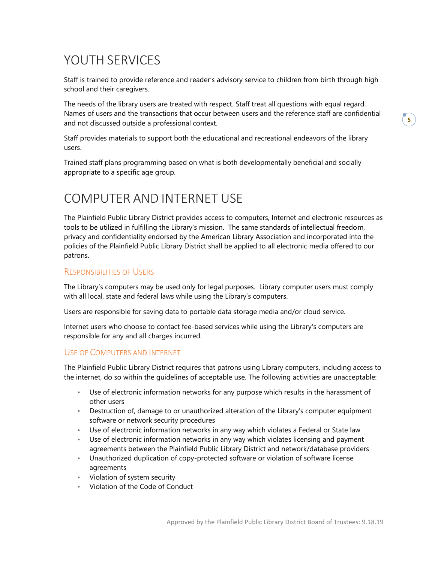# YOUTH SERVICES

Staff is trained to provide reference and reader's advisory service to children from birth through high school and their caregivers.

The needs of the library users are treated with respect. Staff treat all questions with equal regard. Names of users and the transactions that occur between users and the reference staff are confidential and not discussed outside a professional context.

Staff provides materials to support both the educational and recreational endeavors of the library users.

Trained staff plans programming based on what is both developmentally beneficial and socially appropriate to a specific age group.

# COMPUTER AND INTERNET USE

The Plainfield Public Library District provides access to computers, Internet and electronic resources as tools to be utilized in fulfilling the Library's mission. The same standards of intellectual freedom, privacy and confidentiality endorsed by the American Library Association and incorporated into the policies of the Plainfield Public Library District shall be applied to all electronic media offered to our patrons.

## RESPONSIBILITIES OF USERS

The Library's computers may be used only for legal purposes. Library computer users must comply with all local, state and federal laws while using the Library's computers.

Users are responsible for saving data to portable data storage media and/or cloud service.

Internet users who choose to contact fee-based services while using the Library's computers are responsible for any and all charges incurred.

#### USE OF COMPUTERS AND INTERNET

The Plainfield Public Library District requires that patrons using Library computers, including access to the internet, do so within the guidelines of acceptable use. The following activities are unacceptable:

- Use of electronic information networks for any purpose which results in the harassment of other users
- Destruction of, damage to or unauthorized alteration of the Library's computer equipment software or network security procedures
- Use of electronic information networks in any way which violates a Federal or State law
- Use of electronic information networks in any way which violates licensing and payment agreements between the Plainfield Public Library District and network/database providers
- Unauthorized duplication of copy-protected software or violation of software license agreements
- Violation of system security
- Violation of the Code of Conduct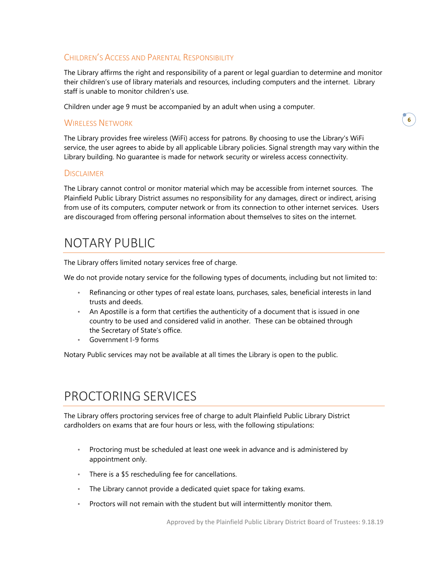# CHILDREN'S ACCESS AND PARENTAL RESPONSIBILITY

The Library affirms the right and responsibility of a parent or legal guardian to determine and monitor their children's use of library materials and resources, including computers and the internet. Library staff is unable to monitor children's use.

Children under age 9 must be accompanied by an adult when using a computer.

### WIRELESS NETWORK

The Library provides free wireless (WiFi) access for patrons. By choosing to use the Library's WiFi service, the user agrees to abide by all applicable Library policies. Signal strength may vary within the Library building. No guarantee is made for network security or wireless access connectivity.

### **DISCLAIMER**

The Library cannot control or monitor material which may be accessible from internet sources. The Plainfield Public Library District assumes no responsibility for any damages, direct or indirect, arising from use of its computers, computer network or from its connection to other internet services. Users are discouraged from offering personal information about themselves to sites on the internet.

# NOTARY PUBLIC

The Library offers limited notary services free of charge.

We do not provide notary service for the following types of documents, including but not limited to:

- Refinancing or other types of real estate loans, purchases, sales, beneficial interests in land trusts and deeds.
- An Apostille is a form that certifies the authenticity of a document that is issued in one country to be used and considered valid in another. These can be obtained through the Secretary o[f State's office](http://www.cyberdriveillinois.com/departments/index/apostilles.html).
- Government I-9 forms

Notary Public services may not be available at all times the Library is open to the public.

# PROCTORING SERVICES

The Library offers proctoring services free of charge to adult Plainfield Public Library District cardholders on exams that are four hours or less, with the following stipulations:

- Proctoring must be scheduled at least one week in advance and is administered by appointment only.
- There is a \$5 rescheduling fee for cancellations.
- The Library cannot provide a dedicated quiet space for taking exams.
- Proctors will not remain with the student but will intermittently monitor them.